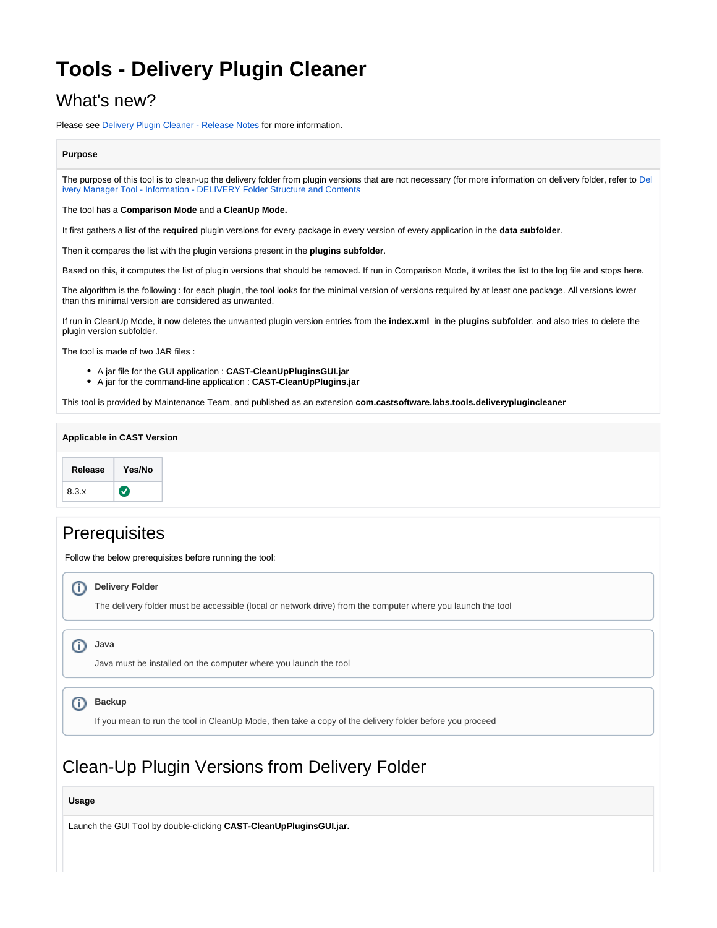# **Tools - Delivery Plugin Cleaner**

### What's new?

Please see [Delivery Plugin Cleaner - Release Notes](https://doc.castsoftware.com/display/TG/Tools+-+Delivery+Plugin+Cleaner+-+Release+Notes) for more information.

#### **Purpose**

The purpose of this tool is to clean-up the delivery folder from plugin versions that are not necessary (for more information on delivery folder, refer to [Del](https://doc.castsoftware.com/display/TG/Delivery+Manager+Tool+-+Information+-+DELIVERY+Folder+Structure+and+Contents) [ivery Manager Tool - Information - DELIVERY Folder Structure and Contents](https://doc.castsoftware.com/display/TG/Delivery+Manager+Tool+-+Information+-+DELIVERY+Folder+Structure+and+Contents)

The tool has a **Comparison Mode** and a **CleanUp Mode.**

It first gathers a list of the **required** plugin versions for every package in every version of every application in the **data subfolder**.

Then it compares the list with the plugin versions present in the **plugins subfolder**.

Based on this, it computes the list of plugin versions that should be removed. If run in Comparison Mode, it writes the list to the log file and stops here.

The algorithm is the following : for each plugin, the tool looks for the minimal version of versions required by at least one package. All versions lower than this minimal version are considered as unwanted.

If run in CleanUp Mode, it now deletes the unwanted plugin version entries from the **index.xml** in the **plugins subfolder**, and also tries to delete the plugin version subfolder.

The tool is made of two JAR files :

- A jar file for the GUI application : **CAST-CleanUpPluginsGUI.jar**
- A jar for the command-line application : **CAST-CleanUpPlugins.jar**

This tool is provided by Maintenance Team, and published as an extension **com.castsoftware.labs.tools.deliveryplugincleaner**

### **Applicable in CAST Version Release Yes/No**  $\bullet$ 8.3.x



## Clean-Up Plugin Versions from Delivery Folder

**Usage**

Launch the GUI Tool by double-clicking **CAST-CleanUpPluginsGUI.jar.**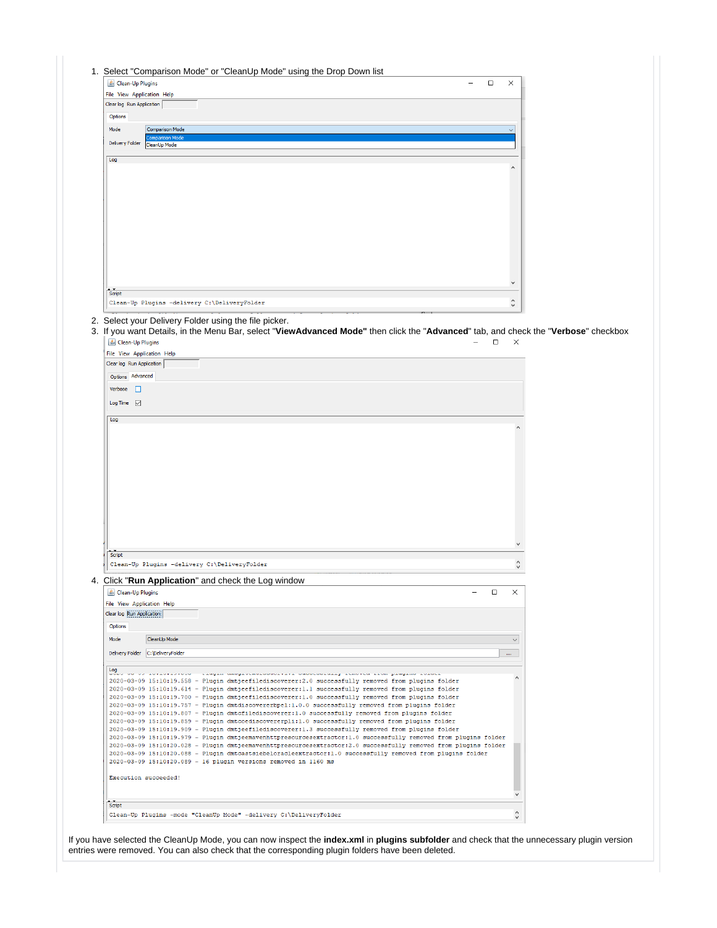| File View Application Help                                                                  |                                                                                                                                                                                                                                                                                                                                                                                                                                                                                                                                                                                                                                                                                                                                                                                                                                                                                                                                                                                                                                                                                                                                                           |  |  |  |        |                          |  |
|---------------------------------------------------------------------------------------------|-----------------------------------------------------------------------------------------------------------------------------------------------------------------------------------------------------------------------------------------------------------------------------------------------------------------------------------------------------------------------------------------------------------------------------------------------------------------------------------------------------------------------------------------------------------------------------------------------------------------------------------------------------------------------------------------------------------------------------------------------------------------------------------------------------------------------------------------------------------------------------------------------------------------------------------------------------------------------------------------------------------------------------------------------------------------------------------------------------------------------------------------------------------|--|--|--|--------|--------------------------|--|
| Clear log Run Application                                                                   |                                                                                                                                                                                                                                                                                                                                                                                                                                                                                                                                                                                                                                                                                                                                                                                                                                                                                                                                                                                                                                                                                                                                                           |  |  |  |        |                          |  |
| Options                                                                                     |                                                                                                                                                                                                                                                                                                                                                                                                                                                                                                                                                                                                                                                                                                                                                                                                                                                                                                                                                                                                                                                                                                                                                           |  |  |  |        |                          |  |
|                                                                                             | <b>Comparison Mode</b>                                                                                                                                                                                                                                                                                                                                                                                                                                                                                                                                                                                                                                                                                                                                                                                                                                                                                                                                                                                                                                                                                                                                    |  |  |  |        |                          |  |
| Mode                                                                                        | ison Mode                                                                                                                                                                                                                                                                                                                                                                                                                                                                                                                                                                                                                                                                                                                                                                                                                                                                                                                                                                                                                                                                                                                                                 |  |  |  |        |                          |  |
| <b>Delivery Folder</b>                                                                      | CleanUp Mode                                                                                                                                                                                                                                                                                                                                                                                                                                                                                                                                                                                                                                                                                                                                                                                                                                                                                                                                                                                                                                                                                                                                              |  |  |  |        |                          |  |
| Log                                                                                         |                                                                                                                                                                                                                                                                                                                                                                                                                                                                                                                                                                                                                                                                                                                                                                                                                                                                                                                                                                                                                                                                                                                                                           |  |  |  |        |                          |  |
|                                                                                             |                                                                                                                                                                                                                                                                                                                                                                                                                                                                                                                                                                                                                                                                                                                                                                                                                                                                                                                                                                                                                                                                                                                                                           |  |  |  |        | $\wedge$                 |  |
|                                                                                             |                                                                                                                                                                                                                                                                                                                                                                                                                                                                                                                                                                                                                                                                                                                                                                                                                                                                                                                                                                                                                                                                                                                                                           |  |  |  |        |                          |  |
|                                                                                             |                                                                                                                                                                                                                                                                                                                                                                                                                                                                                                                                                                                                                                                                                                                                                                                                                                                                                                                                                                                                                                                                                                                                                           |  |  |  |        | $\checkmark$             |  |
| Script                                                                                      | Clean-Up Plugins -delivery C:\DeliveryFolder                                                                                                                                                                                                                                                                                                                                                                                                                                                                                                                                                                                                                                                                                                                                                                                                                                                                                                                                                                                                                                                                                                              |  |  |  |        | $\hat{\mathbf{v}}$       |  |
| File View Application Help<br>Clear log Run Application<br>Options Advanced<br>Verbose<br>⊔ |                                                                                                                                                                                                                                                                                                                                                                                                                                                                                                                                                                                                                                                                                                                                                                                                                                                                                                                                                                                                                                                                                                                                                           |  |  |  |        |                          |  |
| Log                                                                                         |                                                                                                                                                                                                                                                                                                                                                                                                                                                                                                                                                                                                                                                                                                                                                                                                                                                                                                                                                                                                                                                                                                                                                           |  |  |  |        |                          |  |
| Script<br>& Clean-Up Plugins<br>File View Application Help<br>Clear log Run Application     | Clean-Up Plugins -delivery C:\DeliveryFolder<br>4. Click "Run Application" and check the Log window                                                                                                                                                                                                                                                                                                                                                                                                                                                                                                                                                                                                                                                                                                                                                                                                                                                                                                                                                                                                                                                       |  |  |  | $\Box$ | $\checkmark$<br>$\times$ |  |
| Options                                                                                     |                                                                                                                                                                                                                                                                                                                                                                                                                                                                                                                                                                                                                                                                                                                                                                                                                                                                                                                                                                                                                                                                                                                                                           |  |  |  |        |                          |  |
| Mode                                                                                        | CleanUp Mode                                                                                                                                                                                                                                                                                                                                                                                                                                                                                                                                                                                                                                                                                                                                                                                                                                                                                                                                                                                                                                                                                                                                              |  |  |  |        | $\checkmark$             |  |
|                                                                                             |                                                                                                                                                                                                                                                                                                                                                                                                                                                                                                                                                                                                                                                                                                                                                                                                                                                                                                                                                                                                                                                                                                                                                           |  |  |  |        |                          |  |
|                                                                                             | Delivery Folder C:\DeliveryFolder                                                                                                                                                                                                                                                                                                                                                                                                                                                                                                                                                                                                                                                                                                                                                                                                                                                                                                                                                                                                                                                                                                                         |  |  |  |        | ш                        |  |
| $\frac{\text{Log}}{\text{Log}}$                                                             | oo oo lorichiistoot - riagin amoglocholaoocitii caccecealiy femotee ficm piam giagine loracl                                                                                                                                                                                                                                                                                                                                                                                                                                                                                                                                                                                                                                                                                                                                                                                                                                                                                                                                                                                                                                                              |  |  |  |        |                          |  |
|                                                                                             | 2020-03-09 15:10:19.558 - Plugin dmtjeefilediscoverer:2.0 successfully removed from plugins folder<br>2020-03-09 15:10:19.614 - Plugin dmtjeefilediscoverer:1.1 successfully removed from plugins folder<br>2020-03-09 15:10:19.700 - Plugin dmtjeefilediscoverer:1.0 successfully removed from plugins folder<br>2020-03-09 15:10:19.757 - Plugin dmtdiscovererbpel:1.0.0 successfully removed from plugins folder<br>2020-03-09 15:10:19.807 - Plugin dmtcfilediscoverer:1.0 successfully removed from plugins folder<br>2020-03-09 15:10:19.859 - Plugin dmtcoediscovererpli:1.0 successfully removed from plugins folder<br>2020-03-09 15:10:19.909 - Plugin dmtjeefilediscoverer:1.3 successfully removed from plugins folder<br>2020-03-09 15:10:19.979 - Plugin dmtjeemavenhttpresourcesextractor:1.0 successfully removed from plugins folder<br>2020-03-09 15:10:20.028 - Plugin dmtjeemavenhttpresourcesextractor:2.0 successfully removed from plugins folder<br>2020-03-09 15:10:20.088 - Plugin dmtcastsiebeloracleextractor:1.0 successfully removed from plugins folder<br>2020-03-09 15:10:20.089 - 16 plugin versions removed in 1160 ms |  |  |  |        | $\wedge$                 |  |
|                                                                                             | Execution succeeded!                                                                                                                                                                                                                                                                                                                                                                                                                                                                                                                                                                                                                                                                                                                                                                                                                                                                                                                                                                                                                                                                                                                                      |  |  |  |        |                          |  |

If you have selected the CleanUp Mode, you can now inspect the **index.xml** in **plugins subfolder** and check that the unnecessary plugin version entries were removed. You can also check that the corresponding plugin folders have been deleted.